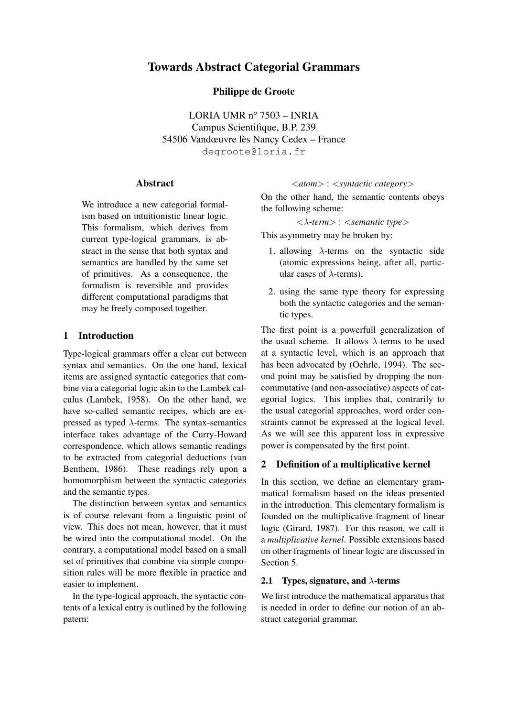# Towards Abstract Categorial Grammars

Philippe de Groote

LORIA UMR  $n^{\circ}$  7503 – INRIA Campus Scientifique, B.P. 239 54506 Vandœuvre lès Nancy Cedex – France degroote@loria.fr

# Abstract

We introduce a new categorial formalism based on intuitionistic linear logic. This formalism, which derives from current type-logical grammars, is abstract in the sense that both syntax and semantics are handled by the same set of primitives. As a consequence, the formalism is reversible and provides different computational paradigms that may be freely composed together.

# 1 Introduction

Type-logical grammars offer a clear cut between syntax and semantics. On the one hand, lexical items are assigned syntactic categories that combine via a categorial logic akin to the Lambek calculus (Lambek, 1958). On the other hand, we have so-called semantic recipes, which are expressed as typed  $\lambda$ -terms. The syntax-semantics interface takes advantage of the Curry-Howard correspondence, which allows semantic readings to be extracted from categorial deductions (van Benthem, 1986). These readings rely upon a homomorphism between the syntactic categories and the semantic types.

The distinction between syntax and semantics is of course relevant from a linguistic point of view. This does not mean, however, that it must be wired into the computational model. On the contrary, a computational model based on a small set of primitives that combine via simple composition rules will be more flexible in practice and easier to implement.

In the type-logical approach, the syntactic contents of a lexical entry is outlined by the following patern:

## <*atom*> : <*syntactic category*>

On the other hand, the semantic contents obeys the following scheme:

<λ*-term*> : <*semantic type*>

This asymmetry may be broken by:

- 1. allowing  $\lambda$ -terms on the syntactic side (atomic expressions being, after all, particular cases of  $\lambda$ -terms),
- 2. using the same type theory for expressing both the syntactic categories and the semantic types.

The first point is a powerfull generalization of the usual scheme. It allows  $\lambda$ -terms to be used at a syntactic level, which is an approach that has been advocated by (Oehrle, 1994). The second point may be satisfied by dropping the noncommutative (and non-associative) aspects of categorial logics. This implies that, contrarily to the usual categorial approaches, word order constraints cannot be expressed at the logical level. As we will see this apparent loss in expressive power is compensated by the first point.

# 2 Definition of a multiplicative kernel

In this section, we define an elementary grammatical formalism based on the ideas presented in the introduction. This elementary formalism is founded on the multiplicative fragment of linear logic (Girard, 1987). For this reason, we call it a *multiplicative kernel*. Possible extensions based on other fragments of linear logic are discussed in Section 5.

## 2.1 Types, signature, and  $\lambda$ -terms

We first introduce the mathematical apparatus that is needed in order to define our notion of an abstract categorial grammar.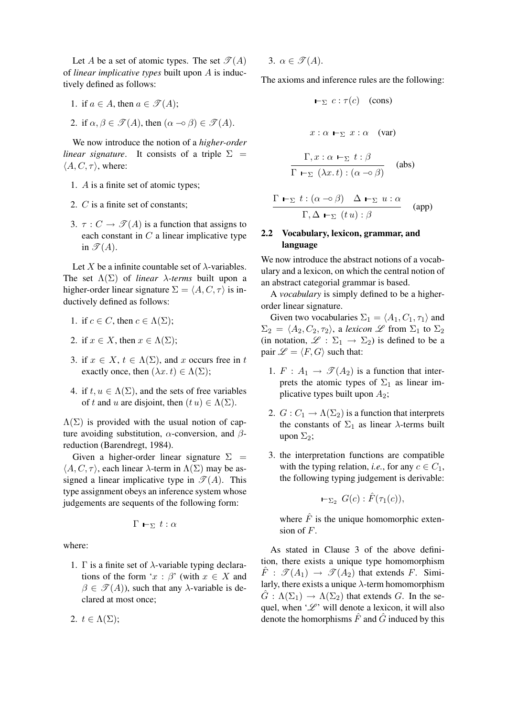Let A be a set of atomic types. The set  $\mathcal{T}(A)$ of *linear implicative types* built upon A is inductively defined as follows:

1. if  $a \in A$ , then  $a \in \mathcal{T}(A)$ ;

2. if 
$$
\alpha, \beta \in \mathcal{F}(A)
$$
, then  $(\alpha \to \beta) \in \mathcal{F}(A)$ .

We now introduce the notion of a *higher-order linear signature.* It consists of a triple  $\Sigma$  =  $\langle A, C, \tau \rangle$ , where:

- 1. A is a finite set of atomic types;
- 2. C is a finite set of constants;
- 3.  $\tau : C \to \mathcal{T}(A)$  is a function that assigns to each constant in  $C$  a linear implicative type in  $\mathscr{T}(A)$ .

Let X be a infinite countable set of  $\lambda$ -variables. The set  $\Lambda(\Sigma)$  of *linear*  $\lambda$ -terms built upon a higher-order linear signature  $\Sigma = \langle A, C, \tau \rangle$  is inductively defined as follows:

1. if 
$$
c \in C
$$
, then  $c \in \Lambda(\Sigma)$ ;

- 2. if  $x \in X$ , then  $x \in \Lambda(\Sigma)$ ;
- 3. if  $x \in X$ ,  $t \in \Lambda(\Sigma)$ , and x occurs free in t exactly once, then  $(\lambda x. t) \in \Lambda(\Sigma)$ ;
- 4. if  $t, u \in \Lambda(\Sigma)$ , and the sets of free variables of t and u are disjoint, then  $(t u) \in \Lambda(\Sigma)$ .

 $\Lambda(\Sigma)$  is provided with the usual notion of capture avoiding substitution,  $\alpha$ -conversion, and  $\beta$ reduction (Barendregt, 1984).

Given a higher-order linear signature  $\Sigma =$  $\langle A, C, \tau \rangle$ , each linear  $\lambda$ -term in  $\Lambda(\Sigma)$  may be assigned a linear implicative type in  $\mathcal{T}(A)$ . This type assignment obeys an inference system whose judgements are sequents of the following form:

$$
\Gamma \vdash_{\Sigma} t : \alpha
$$

where:

1.  $\Gamma$  is a finite set of  $\lambda$ -variable typing declarations of the form ' $x : \beta'$  (with  $x \in X$  and  $\beta \in \mathcal{T}(A)$ , such that any  $\lambda$ -variable is declared at most once;

2. 
$$
t \in \Lambda(\Sigma)
$$
;

3. 
$$
\alpha \in \mathcal{I}(A)
$$
.

The axioms and inference rules are the following:

$$
\vdash_{\Sigma} c : \tau(c) \quad \text{(cons)}
$$
\n
$$
x : \alpha \vdash_{\Sigma} x : \alpha \quad \text{(var)}
$$
\n
$$
\frac{\Gamma, x : \alpha \vdash_{\Sigma} t : \beta}{\Gamma \vdash_{\Sigma} (\lambda x. t) : (\alpha \neg \circ \beta)} \quad \text{(abs)}
$$
\n
$$
\Gamma \vdash_{\Sigma} t : (\alpha \neg \circ \beta) \quad \Delta \vdash_{\Sigma} u : \alpha
$$

$$
\frac{\Gamma \vdash_{\Sigma} \iota \cdot (\alpha \multimap \beta) \Delta \vdash_{\Sigma} u \cdot \alpha}{\Gamma, \Delta \vdash_{\Sigma} (t u) : \beta} \quad (app)
$$

# 2.2 Vocabulary, lexicon, grammar, and language

We now introduce the abstract notions of a vocabulary and a lexicon, on which the central notion of an abstract categorial grammar is based.

A *vocabulary* is simply defined to be a higherorder linear signature.

Given two vocabularies  $\Sigma_1 = \langle A_1, C_1, \tau_1 \rangle$  and  $\Sigma_2 = \langle A_2, C_2, \tau_2 \rangle$ , a *lexicon* L from  $\Sigma_1$  to  $\Sigma_2$ (in notation,  $\mathscr{L} : \Sigma_1 \to \Sigma_2$ ) is defined to be a pair  $\mathscr{L} = \langle F, G \rangle$  such that:

- 1.  $F: A_1 \rightarrow \mathcal{I}(A_2)$  is a function that interprets the atomic types of  $\Sigma_1$  as linear implicative types built upon  $A_2$ ;
- 2.  $G: C_1 \to \Lambda(\Sigma_2)$  is a function that interprets the constants of  $\Sigma_1$  as linear  $\lambda$ -terms built upon  $\Sigma_2$ ;
- 3. the interpretation functions are compatible with the typing relation, *i.e.*, for any  $c \in C_1$ , the following typing judgement is derivable:

$$
\vdash_{\Sigma_2} G(c): \hat{F}(\tau_1(c)),
$$

where  $\hat{F}$  is the unique homomorphic extension of F.

As stated in Clause 3 of the above definition, there exists a unique type homomorphism  $\hat{F}: \mathscr{T}(A_1) \rightarrow \mathscr{T}(A_2)$  that extends F. Similarly, there exists a unique  $\lambda$ -term homomorphism  $\hat{G}: \Lambda(\Sigma_1) \to \Lambda(\Sigma_2)$  that extends G. In the sequel, when ' $\mathcal{L}'$ ' will denote a lexicon, it will also denote the homorphisms  $\hat{F}$  and  $\hat{G}$  induced by this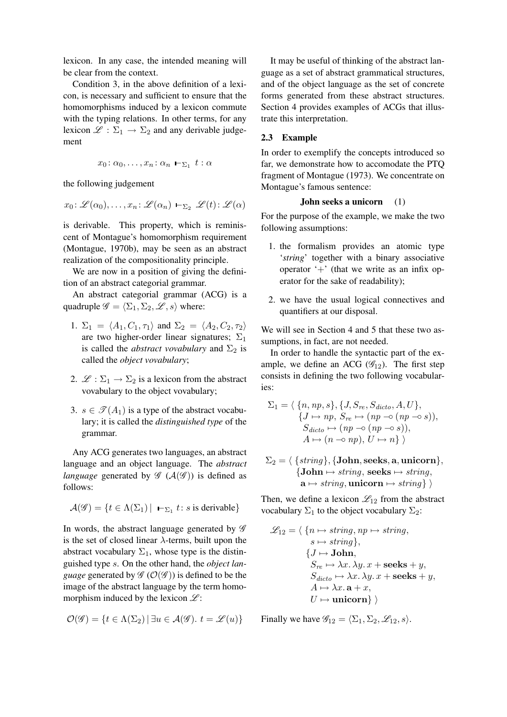lexicon. In any case, the intended meaning will be clear from the context.

Condition 3, in the above definition of a lexicon, is necessary and sufficient to ensure that the homomorphisms induced by a lexicon commute with the typing relations. In other terms, for any lexicon  $\mathscr{L} : \Sigma_1 \to \Sigma_2$  and any derivable judgement

$$
x_0:\alpha_0,\ldots,x_n:\alpha_n\vdash_{\Sigma_1} t:\alpha
$$

the following judgement

$$
x_0
$$
:  $\mathscr{L}(\alpha_0), \ldots, x_n$ :  $\mathscr{L}(\alpha_n) \vdash_{\Sigma_2} \mathscr{L}(t)$ :  $\mathscr{L}(\alpha)$ 

is derivable. This property, which is reminiscent of Montague's homomorphism requirement (Montague, 1970b), may be seen as an abstract realization of the compositionality principle.

We are now in a position of giving the definition of an abstract categorial grammar.

An abstract categorial grammar (ACG) is a quadruple  $\mathscr{G} = \langle \Sigma_1, \Sigma_2, \mathscr{L}, s \rangle$  where:

- 1.  $\Sigma_1 = \langle A_1, C_1, \tau_1 \rangle$  and  $\Sigma_2 = \langle A_2, C_2, \tau_2 \rangle$ are two higher-order linear signatures;  $\Sigma_1$ is called the *abstract vovabulary* and  $\Sigma_2$  is called the *object vovabulary*;
- 2.  $\mathscr{L} : \Sigma_1 \to \Sigma_2$  is a lexicon from the abstract vovabulary to the object vovabulary;
- 3.  $s \in \mathcal{T}(A_1)$  is a type of the abstract vocabulary; it is called the *distinguished type* of the grammar.

Any ACG generates two languages, an abstract language and an object language. The *abstract language* generated by  $\mathscr{G}(\mathcal{A}(\mathscr{G}))$  is defined as follows:

$$
\mathcal{A}(\mathcal{G}) = \{t \in \Lambda(\Sigma_1) \, | \, \text{ } \text{${\leftarrow}$\scriptsize{$\Sigma_1$}} t \colon s \text{ is derivable}\}
$$

In words, the abstract language generated by  $\mathscr G$ is the set of closed linear  $\lambda$ -terms, built upon the abstract vocabulary  $\Sigma_1$ , whose type is the distinguished type s. On the other hand, the *object language* generated by  $\mathscr{G}(\mathcal{O}(\mathscr{G}))$  is defined to be the image of the abstract language by the term homomorphism induced by the lexicon  $\mathscr{L}$ :

$$
\mathcal{O}(\mathscr{G}) = \{ t \in \Lambda(\Sigma_2) \, | \, \exists u \in \mathcal{A}(\mathscr{G}). \ t = \mathscr{L}(u) \}
$$

It may be useful of thinking of the abstract language as a set of abstract grammatical structures, and of the object language as the set of concrete forms generated from these abstract structures. Section 4 provides examples of ACGs that illustrate this interpretation.

#### 2.3 Example

In order to exemplify the concepts introduced so far, we demonstrate how to accomodate the PTQ fragment of Montague (1973). We concentrate on Montague's famous sentence:

## John seeks a unicorn (1)

For the purpose of the example, we make the two following assumptions:

- 1. the formalism provides an atomic type '*string*' together with a binary associative operator  $+$ ' (that we write as an infix operator for the sake of readability);
- 2. we have the usual logical connectives and quantifiers at our disposal.

We will see in Section 4 and 5 that these two assumptions, in fact, are not needed.

In order to handle the syntactic part of the example, we define an ACG  $(\mathscr{G}_{12})$ . The first step consists in defining the two following vocabularies:

$$
\Sigma_1 = \langle \{n, np, s\}, \{J, S_{re}, S_{dicto}, A, U\},\
$$
  

$$
\{J \mapsto np, S_{re} \mapsto (np \multimap (np \multimap s)),\
$$
  

$$
S_{dicto} \mapsto (np \multimap (np \multimap s)),\
$$
  

$$
A \mapsto (n \multimap np), U \mapsto n\} \rangle
$$

 $\Sigma_2 = \langle \{string\}, \{John, seeks, a, unicorn\},\rangle$  ${John \mapsto string, seeks \mapsto string,}$  $\mathbf{a} \mapsto \text{string}, \text{uniform} \mapsto \text{string} \}$ 

Then, we define a lexicon  $\mathcal{L}_{12}$  from the abstract vocabulary  $\Sigma_1$  to the object vocabulary  $\Sigma_2$ :

$$
\mathcal{L}_{12} = \langle \{n \mapsto string, np \mapsto string, \atop s \mapsto string \},\
$$

$$
\{J \mapsto \textbf{John}, \atop S_{re} \mapsto \lambda x. \lambda y. x + \textbf{seeks} + y, \atop S_{dicto} \mapsto \lambda x. \lambda y. x + \textbf{seeks} + y, \atop A \mapsto \lambda x. \mathbf{a} + x, \atop U \mapsto \textbf{unicorn} \} \rangle
$$

Finally we have  $\mathscr{G}_{12} = \langle \Sigma_1, \Sigma_2, \mathscr{L}_{12}, s \rangle$ .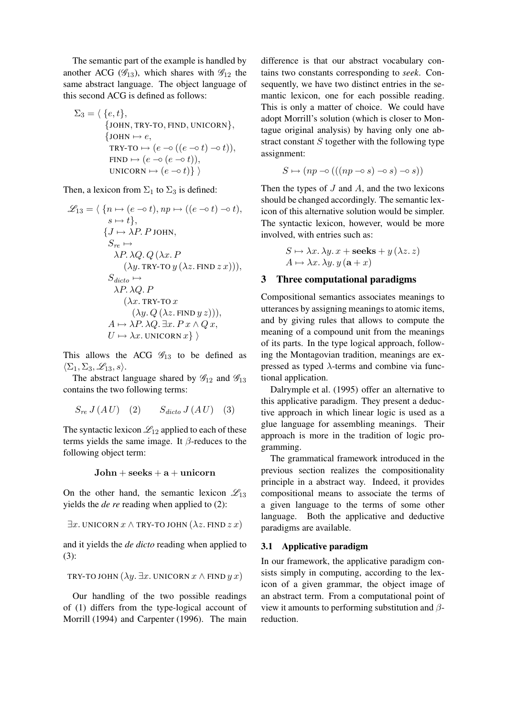The semantic part of the example is handled by another ACG ( $\mathscr{G}_{13}$ ), which shares with  $\mathscr{G}_{12}$  the same abstract language. The object language of this second ACG is defined as follows:

$$
\Sigma_3 = \langle \{e, t\},
$$
  
\n
$$
\{JOHN, TRY-TO, FIND, UNICORN\},
$$
  
\n
$$
\{JOHN \mapsto e,
$$
  
\n
$$
TRY-TO \mapsto (e \multimap ((e \multimap t) \multimap t)),
$$
  
\n
$$
FIND \mapsto (e \multimap (e \multimap t)),
$$
  
\n
$$
UNICORN \mapsto (e \multimap t)\}
$$

Then, a lexicon from  $\Sigma_1$  to  $\Sigma_3$  is defined:

$$
\mathcal{L}_{13} = \langle \{n \mapsto (e \multimap t), np \mapsto ((e \multimap t) \multimap t), s \mapsto t \}, \{\textit{J} \mapsto \lambda \textit{P}.\textit{P}.\textit{J} \text{OHN}, \textit{S}_{re} \mapsto \lambda \textit{P}.\lambda \textit{Q}. \textit{Q} (\lambda x.\textit{P} (\lambda y.\textit{TRY-TO } y (\lambda z.\textit{FIND } z\ x))), \textit{Sdicto } \mapsto \lambda \textit{P}.\lambda \textit{Q}. \textit{P} (\lambda x.\textit{TRY-TO } x (\lambda y.\textit{Q} (\lambda z.\textit{FIND } y\ z))), \textit{A} \mapsto \lambda \textit{P}.\lambda \textit{Q}. \exists x.\textit{P} x \wedge \textit{Q} x, \textit{U} \mapsto \lambda x.\text{UNICORN } x\} \rangle
$$

This allows the ACG  $\mathcal{G}_{13}$  to be defined as  $\langle \Sigma_1, \Sigma_3, \mathscr{L}_{13}, s \rangle.$ 

The abstract language shared by  $\mathscr{G}_{12}$  and  $\mathscr{G}_{13}$ contains the two following terms:

$$
S_{re} J(AU) \quad (2) \qquad S_{dicto} J(AU) \quad (3)
$$

The syntactic lexicon  $\mathcal{L}_{12}$  applied to each of these terms yields the same image. It  $\beta$ -reduces to the following object term:

 $John + seeks + a + unicorn$ 

On the other hand, the semantic lexicon  $\mathcal{L}_{13}$ yields the *de re* reading when applied to (2):

$$
\exists x. \text{UNICORN } x \land \text{TRY-TO JOHN } (\lambda z. \text{FIND } z x)
$$

and it yields the *de dicto* reading when applied to (3):

TRY-TO JOHN 
$$
(\lambda y. \exists x. UNICORN \ x \land \text{FIND} \ y \ x)
$$

Our handling of the two possible readings of (1) differs from the type-logical account of Morrill (1994) and Carpenter (1996). The main

difference is that our abstract vocabulary contains two constants corresponding to *seek*. Consequently, we have two distinct entries in the semantic lexicon, one for each possible reading. This is only a matter of choice. We could have adopt Morrill's solution (which is closer to Montague original analysis) by having only one abstract constant  $S$  together with the following type assignment:

$$
S \mapsto (np \negthinspace \negthinspace \negthinspace \circ \negthinspace ((\negthinspace (np \negthinspace \negthinspace \negthinspace \circ \negthinspace s) \negthinspace \negthinspace \negthinspace \circ \negthinspace s) \negthinspace \negthinspace \negthinspace \circ \negthinspace s))
$$

Then the types of  $J$  and  $A$ , and the two lexicons should be changed accordingly. The semantic lexicon of this alternative solution would be simpler. The syntactic lexicon, however, would be more involved, with entries such as:

$$
S \mapsto \lambda x. \lambda y. x + \text{seeks} + y (\lambda z. z)
$$

$$
A \mapsto \lambda x. \lambda y. y (\mathbf{a} + x)
$$

## 3 Three computational paradigms

Compositional semantics associates meanings to utterances by assigning meanings to atomic items, and by giving rules that allows to compute the meaning of a compound unit from the meanings of its parts. In the type logical approach, following the Montagovian tradition, meanings are expressed as typed  $\lambda$ -terms and combine via functional application.

Dalrymple et al. (1995) offer an alternative to this applicative paradigm. They present a deductive approach in which linear logic is used as a glue language for assembling meanings. Their approach is more in the tradition of logic programming.

The grammatical framework introduced in the previous section realizes the compositionality principle in a abstract way. Indeed, it provides compositional means to associate the terms of a given language to the terms of some other language. Both the applicative and deductive paradigms are available.

### 3.1 Applicative paradigm

In our framework, the applicative paradigm consists simply in computing, according to the lexicon of a given grammar, the object image of an abstract term. From a computational point of view it amounts to performing substitution and  $\beta$ reduction.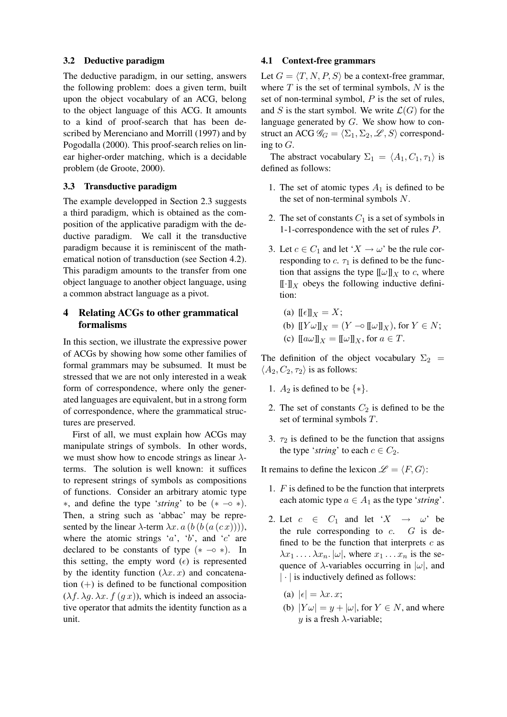### 3.2 Deductive paradigm

The deductive paradigm, in our setting, answers the following problem: does a given term, built upon the object vocabulary of an ACG, belong to the object language of this ACG. It amounts to a kind of proof-search that has been described by Merenciano and Morrill (1997) and by Pogodalla (2000). This proof-search relies on linear higher-order matching, which is a decidable problem (de Groote, 2000).

## 3.3 Transductive paradigm

The example developped in Section 2.3 suggests a third paradigm, which is obtained as the composition of the applicative paradigm with the deductive paradigm. We call it the transductive paradigm because it is reminiscent of the mathematical notion of transduction (see Section 4.2). This paradigm amounts to the transfer from one object language to another object language, using a common abstract language as a pivot.

# 4 Relating ACGs to other grammatical formalisms

In this section, we illustrate the expressive power of ACGs by showing how some other families of formal grammars may be subsumed. It must be stressed that we are not only interested in a weak form of correspondence, where only the generated languages are equivalent, but in a strong form of correspondence, where the grammatical structures are preserved.

First of all, we must explain how ACGs may manipulate strings of symbols. In other words, we must show how to encode strings as linear  $\lambda$ terms. The solution is well known: it suffices to represent strings of symbols as compositions of functions. Consider an arbitrary atomic type ∗, and define the type '*string*' to be (∗ −◦ ∗). Then, a string such as 'abbac' may be represented by the linear  $\lambda$ -term  $\lambda x$ .  $a$  (b (b (a (c x)))), where the atomic strings 'a', 'b', and 'c' are declared to be constants of type  $(* - \circ *)$ . In this setting, the empty word  $(\epsilon)$  is represented by the identity function  $(\lambda x. x)$  and concatenation  $(+)$  is defined to be functional composition  $(\lambda f, \lambda g, \lambda x, f(gx))$ , which is indeed an associative operator that admits the identity function as a unit.

#### 4.1 Context-free grammars

Let  $G = \langle T, N, P, S \rangle$  be a context-free grammar, where  $T$  is the set of terminal symbols,  $N$  is the set of non-terminal symbol,  $P$  is the set of rules, and S is the start symbol. We write  $\mathcal{L}(G)$  for the language generated by G. We show how to construct an ACG  $\mathscr{G}_G = \langle \Sigma_1, \Sigma_2, \mathscr{L}, S \rangle$  corresponding to  $G$ .

The abstract vocabulary  $\Sigma_1 = \langle A_1, C_1, \tau_1 \rangle$  is defined as follows:

- 1. The set of atomic types  $A_1$  is defined to be the set of non-terminal symbols  $N$ .
- 2. The set of constants  $C_1$  is a set of symbols in 1-1-correspondence with the set of rules P.
- 3. Let  $c \in C_1$  and let ' $X \to \omega$ ' be the rule corresponding to  $c$ .  $\tau_1$  is defined to be the function that assigns the type  $[\![\omega]\!]_X$  to c, where  $[\![\cdot]\!]_X$  obeys the following inductive definition:
	- (a)  $\mathbb{F} \epsilon \mathbb{I}_X = X$ ;
	- (b)  $[[Y \omega]]_X = (Y \negcirc [[\omega]]_X)$ , for  $Y \in N$ ;
	- (c)  $\llbracket a\omega \rrbracket_X = \llbracket \omega \rrbracket_X$ , for  $a \in T$ .

The definition of the object vocabulary  $\Sigma_2$  =  $\langle A_2, C_2, \tau_2 \rangle$  is as follows:

- 1.  $A_2$  is defined to be  $\{*\}.$
- 2. The set of constants  $C_2$  is defined to be the set of terminal symbols T.
- 3.  $\tau_2$  is defined to be the function that assigns the type '*string*' to each  $c \in C_2$ .

It remains to define the lexicon  $\mathscr{L} = \langle F, G \rangle$ :

- 1.  $F$  is defined to be the function that interprets each atomic type  $a \in A_1$  as the type '*string*'.
- 2. Let  $c \in C_1$  and let ' $X \rightarrow \omega$ ' be the rule corresponding to  $c$ .  $G$  is defined to be the function that interprets  $c$  as  $\lambda x_1 \ldots \lambda x_n$ .  $|\omega|$ , where  $x_1 \ldots x_n$  is the sequence of  $\lambda$ -variables occurring in  $|\omega|$ , and  $|\cdot|$  is inductively defined as follows:
	- (a)  $|\epsilon| = \lambda x. x$ ;
	- (b)  $|Y\omega| = y + |\omega|$ , for  $Y \in N$ , and where y is a fresh  $\lambda$ -variable;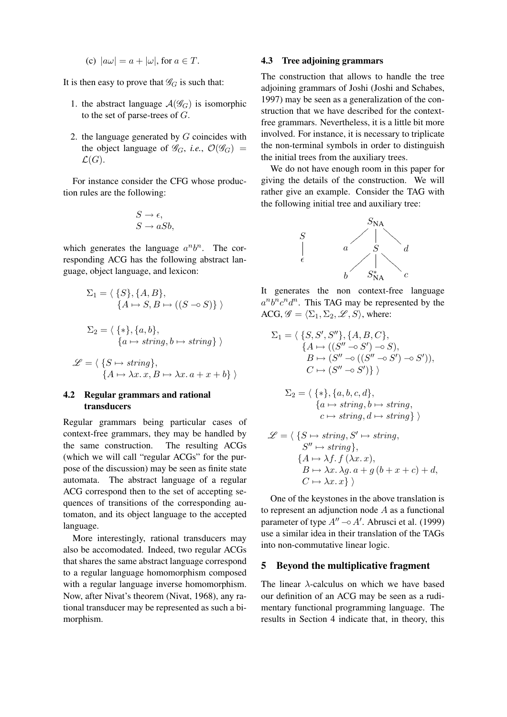(c) 
$$
|a\omega| = a + |\omega|
$$
, for  $a \in T$ .

It is then easy to prove that  $\mathscr{G}_G$  is such that:

- 1. the abstract language  $\mathcal{A}(\mathscr{G}_G)$  is isomorphic to the set of parse-trees of  $G$ .
- 2. the language generated by  $G$  coincides with the object language of  $\mathscr{G}_G$ , *i.e.*,  $\mathcal{O}(\mathscr{G}_G)$  =  $\mathcal{L}(G)$ .

For instance consider the CFG whose production rules are the following:

$$
S \to \epsilon,
$$
  

$$
S \to aSb,
$$

which generates the language  $a^n b^n$ . The corresponding ACG has the following abstract language, object language, and lexicon:

$$
\Sigma_1 = \langle \{S\}, \{A, B\},\
$$

$$
\{A \mapsto S, B \mapsto ((S \multimap S))\} \rangle
$$

$$
\Sigma_2 = \langle \{*\}, \{a, b\},\
$$

$$
\mathcal{L} = \langle \{ S \mapsto string \},\
$$

$$
\{ A \mapsto \lambda x. x, B \mapsto \lambda x. a + x + b \} \rangle
$$

 ${a \mapsto string, b \mapsto string} \ \rangle$ 

# 4.2 Regular grammars and rational transducers

Regular grammars being particular cases of context-free grammars, they may be handled by the same construction. The resulting ACGs (which we will call "regular ACGs" for the purpose of the discussion) may be seen as finite state automata. The abstract language of a regular ACG correspond then to the set of accepting sequences of transitions of the corresponding automaton, and its object language to the accepted language.

More interestingly, rational transducers may also be accomodated. Indeed, two regular ACGs that shares the same abstract language correspond to a regular language homomorphism composed with a regular language inverse homomorphism. Now, after Nivat's theorem (Nivat, 1968), any rational transducer may be represented as such a bimorphism.

### 4.3 Tree adjoining grammars

The construction that allows to handle the tree adjoining grammars of Joshi (Joshi and Schabes, 1997) may be seen as a generalization of the construction that we have described for the contextfree grammars. Nevertheless, it is a little bit more involved. For instance, it is necessary to triplicate the non-terminal symbols in order to distinguish the initial trees from the auxiliary trees.

We do not have enough room in this paper for giving the details of the construction. We will rather give an example. Consider the TAG with the following initial tree and auxiliary tree:



It generates the non context-free language  $a^n b^n c^n d^n$ . This TAG may be represented by the ACG,  $\mathscr{G} = \langle \Sigma_1, \Sigma_2, \mathscr{L}, S \rangle$ , where:

$$
\Sigma_1 = \langle \{S, S', S''\}, \{A, B, C\},\
$$
  
\n
$$
\{A \mapsto ((S'' \multimap S') \multimap S),\
$$
  
\n
$$
B \mapsto (S'' \multimap ((S'' \multimap S') \multimap S')),
$$
  
\n
$$
C \mapsto (S'' \multimap S')\}
$$

$$
\Sigma_2 = \langle \{*\}, \{a, b, c, d\}, \{a \mapsto string, b \mapsto string, c \mapsto string, d \mapsto string \} \rangle
$$

$$
\mathcal{L} = \langle \{ S \mapsto string, S' \mapsto string, \\ S'' \mapsto string \}, \\ \{ A \mapsto \lambda f. f (\lambda x. x), \\ B \mapsto \lambda x. \lambda g. a + g (b + x + c) + d, \\ C \mapsto \lambda x. x \} \rangle
$$

One of the keystones in the above translation is to represent an adjunction node  $A$  as a functional parameter of type  $A'' \sim A'$ . Abrusci et al. (1999) use a similar idea in their translation of the TAGs into non-commutative linear logic.

## 5 Beyond the multiplicative fragment

The linear  $\lambda$ -calculus on which we have based our definition of an ACG may be seen as a rudimentary functional programming language. The results in Section 4 indicate that, in theory, this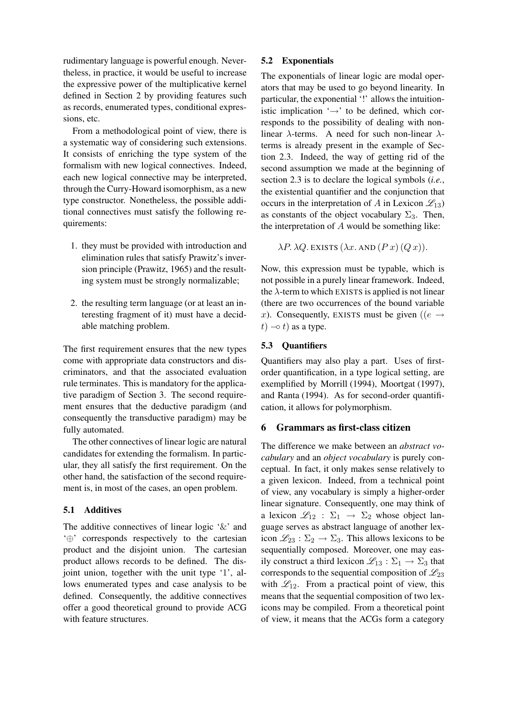rudimentary language is powerful enough. Nevertheless, in practice, it would be useful to increase the expressive power of the multiplicative kernel defined in Section 2 by providing features such as records, enumerated types, conditional expressions, etc.

From a methodological point of view, there is a systematic way of considering such extensions. It consists of enriching the type system of the formalism with new logical connectives. Indeed, each new logical connective may be interpreted, through the Curry-Howard isomorphism, as a new type constructor. Nonetheless, the possible additional connectives must satisfy the following requirements:

- 1. they must be provided with introduction and elimination rules that satisfy Prawitz's inversion principle (Prawitz, 1965) and the resulting system must be strongly normalizable;
- 2. the resulting term language (or at least an interesting fragment of it) must have a decidable matching problem.

The first requirement ensures that the new types come with appropriate data constructors and discriminators, and that the associated evaluation rule terminates. This is mandatory for the applicative paradigm of Section 3. The second requirement ensures that the deductive paradigm (and consequently the transductive paradigm) may be fully automated.

The other connectives of linear logic are natural candidates for extending the formalism. In particular, they all satisfy the first requirement. On the other hand, the satisfaction of the second requirement is, in most of the cases, an open problem.

# 5.1 Additives

The additive connectives of linear logic  $\&$  and '⊕' corresponds respectively to the cartesian product and the disjoint union. The cartesian product allows records to be defined. The disjoint union, together with the unit type '1', allows enumerated types and case analysis to be defined. Consequently, the additive connectives offer a good theoretical ground to provide ACG with feature structures.

### 5.2 Exponentials

The exponentials of linear logic are modal operators that may be used to go beyond linearity. In particular, the exponential '!' allows the intuitionistic implication  $\rightarrow$  to be defined, which corresponds to the possibility of dealing with nonlinear  $\lambda$ -terms. A need for such non-linear  $\lambda$ terms is already present in the example of Section 2.3. Indeed, the way of getting rid of the second assumption we made at the beginning of section 2.3 is to declare the logical symbols (*i.e.*, the existential quantifier and the conjunction that occurs in the interpretation of A in Lexicon  $\mathcal{L}_{13}$ ) as constants of the object vocabulary  $\Sigma_3$ . Then, the interpretation of A would be something like:

$$
\lambda P. \lambda Q.
$$
 EXISTS ( $\lambda x.$  AND ( $P x$ )( $Q x$ )).

Now, this expression must be typable, which is not possible in a purely linear framework. Indeed, the  $\lambda$ -term to which EXISTS is applied is not linear (there are two occurrences of the bound variable x). Consequently, EXISTS must be given (( $e \rightarrow$  $t)$  →  $t)$  as a type.

## 5.3 Quantifiers

Quantifiers may also play a part. Uses of firstorder quantification, in a type logical setting, are exemplified by Morrill (1994), Moortgat (1997), and Ranta (1994). As for second-order quantification, it allows for polymorphism.

## 6 Grammars as first-class citizen

The difference we make between an *abstract vocabulary* and an *object vocabulary* is purely conceptual. In fact, it only makes sense relatively to a given lexicon. Indeed, from a technical point of view, any vocabulary is simply a higher-order linear signature. Consequently, one may think of a lexicon  $\mathcal{L}_{12}$  :  $\Sigma_1 \rightarrow \Sigma_2$  whose object language serves as abstract language of another lexicon  $\mathcal{L}_{23} : \Sigma_2 \to \Sigma_3$ . This allows lexicons to be sequentially composed. Moreover, one may easily construct a third lexicon  $\mathcal{L}_{13} : \Sigma_1 \to \Sigma_3$  that corresponds to the sequential composition of  $\mathcal{L}_{23}$ with  $\mathcal{L}_{12}$ . From a practical point of view, this means that the sequential composition of two lexicons may be compiled. From a theoretical point of view, it means that the ACGs form a category